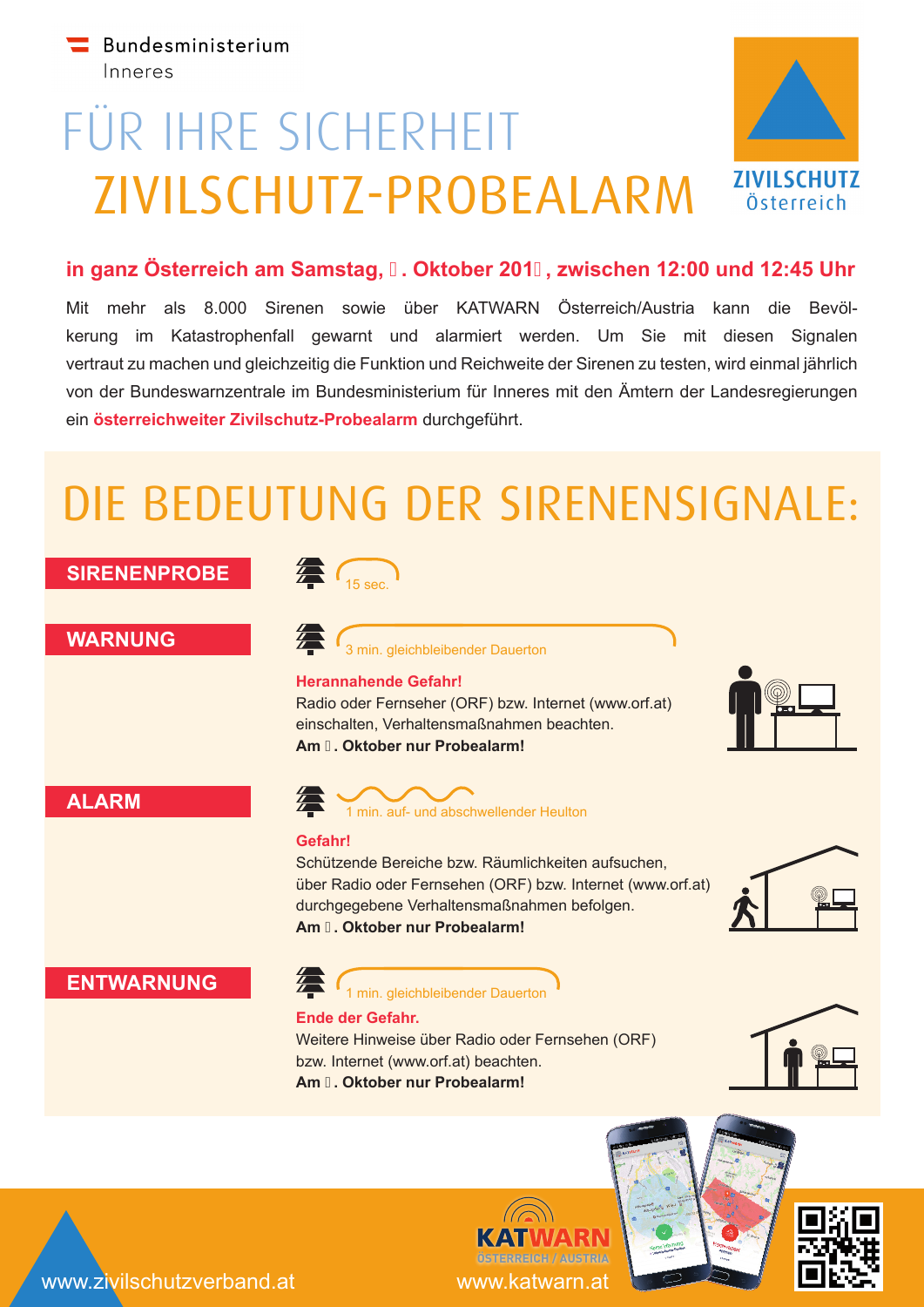# FÜR IHRE SICHERHEIT ZIVILSCHUTZ-PROBEALARM



### **in ganz Österreich am Samstag, . Oktober 201, zwischen 12:00 und 12:45 Uhr**

Mit mehr als 8.000 Sirenen sowie über KATWARN Österreich/Austria kann die Bevölkerung im Katastrophenfall gewarnt und alarmiert werden. Um Sie mit diesen Signalen vertraut zu machen und gleichzeitig die Funktion und Reichweite der Sirenen zu testen, wird einmal jährlich von der Bundeswarnzentrale im Bundesministerium für Inneres mit den Ämtern der Landesregierungen ein **österreichweiter Zivilschutz-Probealarm** durchgeführt.

## DIE BEDEUTUNG DER SIRENENSIGNALE:



www.katwarn.at **ÖSTERREICH / AUSTRIA**

www.zivilschutzverband.at